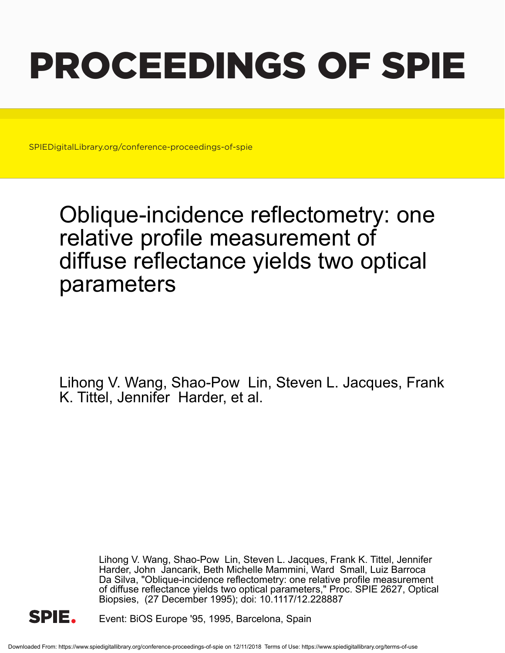# PROCEEDINGS OF SPIE

SPIEDigitalLibrary.org/conference-proceedings-of-spie

# Oblique-incidence reflectometry: one relative profile measurement of diffuse reflectance yields two optical parameters

Lihong V. Wang, Shao-Pow Lin, Steven L. Jacques, Frank K. Tittel, Jennifer Harder, et al.

> Lihong V. Wang, Shao-Pow Lin, Steven L. Jacques, Frank K. Tittel, Jennifer Harder, John Jancarik, Beth Michelle Mammini, Ward Small, Luiz Barroca Da Silva, "Oblique-incidence reflectometry: one relative profile measurement of diffuse reflectance yields two optical parameters," Proc. SPIE 2627, Optical Biopsies, (27 December 1995); doi: 10.1117/12.228887



Event: BiOS Europe '95, 1995, Barcelona, Spain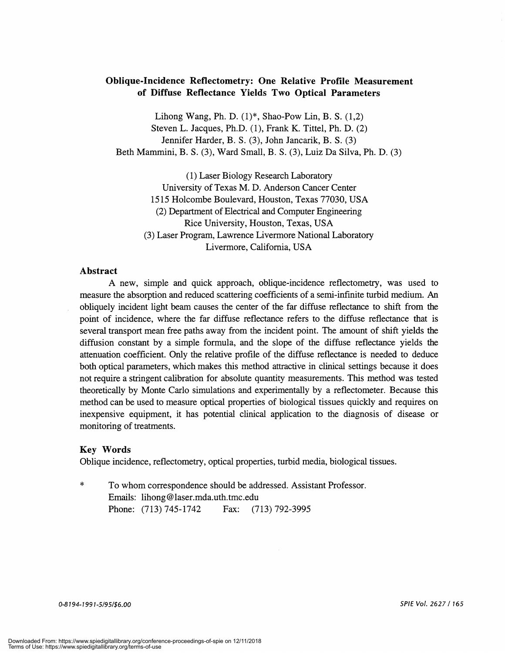# Oblique-Incidence Reflectometry: One Relative Profile Measurement of Diffuse Reflectance Yields Two Optical Parameters

Lihong Wang, Ph. D.  $(1)^*$ , Shao-Pow Lin, B. S.  $(1,2)$ Steven L. Jacques, Ph.D. (1), Frank K. Tittel, Ph. D. (2) Jennifer Harder, B. S. (3), John Jancarik, B. S. (3) Beth Mammini, B. S. (3), Ward Small, B. S. (3), Luiz Da Silva, Ph. D. (3)

(1) Laser Biology Research Laboratory University of Texas M. D. Anderson Cancer Center 1515 Holcombe Boulevard, Houston, Texas 77030, USA (2) Department of Electrical and Computer Engineering Rice University, Houston, Texas, USA (3) Laser Program, Lawrence Livermore National Laboratory Livermore, California, USA

#### Abstract

A new, simple and quick approach, oblique-incidence reflectometry, was used to measure the absorption and reduced scattering coefficients of a semi-infinite turbid medium. An obliquely incident light beam causes the center of the far diffuse reflectance to shift from the point of incidence, where the far diffuse reflectance refers to the diffuse reflectance that is several transport mean free paths away from the incident point. The amount of shift yields the diffusion constant by a simple formula, and the slope of the diffuse reflectance yields the attenuation coefficient. Only the relative profile of the diffuse reflectance is needed to deduce both optical parameters, which makes this method attractive in clinical settings because it does not require a stringent calibration for absolute quantity measurements. This method was tested theoretically by Monte Carlo simulations and experimentally by a reflectometer. Because this method can be used to measure optical properties of biological tissues quickly and requires on inexpensive equipment, it has potential clinical application to the diagnosis of disease or monitoring of treatments.

#### Key Words

Oblique incidence, reflectometry, optical properties, turbid media, biological tissues.

\* To whom correspondence should be addressed. Assistant Professor. Emails: lihong@laser.mda.uth.tmc.edu Phone: (713) 745-1742 Fax: (713) 792-3995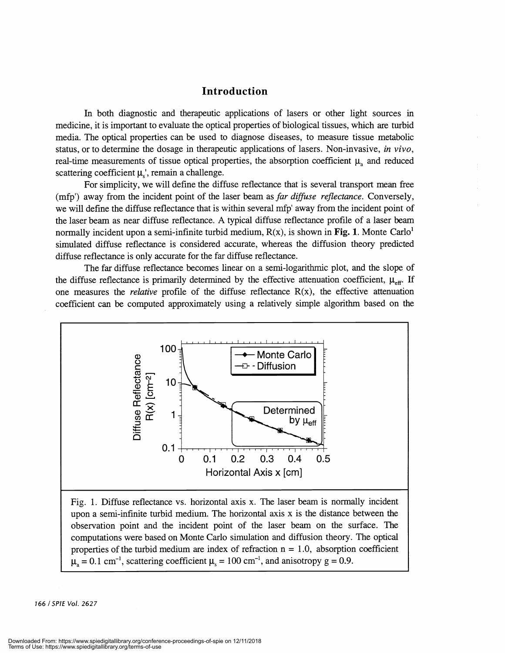### Introduction

In both diagnostic and therapeutic applications of lasers or other light sources in medicine, it is important to evaluate the optical properties of biological tissues, which are turbid media. The optical properties can be used to diagnose diseases, to measure tissue metabolic status, or to determine the dosage in therapeutic applications of lasers. Non-invasive, in vivo, real-time measurements of tissue optical properties, the absorption coefficient  $\mu_a$  and reduced scattering coefficient  $\mu$ , remain a challenge.

For simplicity, we will define the diffuse reflectance that is several transport mean free (mfp') away from the incident point of the laser beam as far diffuse reflectance. Conversely, we will define the diffuse reflectance that is within several mfp' away from the incident point of the laser beam as near diffuse reflectance. A typical diffuse reflectance profile of a laser beam normally incident upon a semi-infinite turbid medium,  $R(x)$ , is shown in Fig. 1. Monte Carlo<sup>1</sup> simulated diffuse reflectance is considered accurate, whereas the diffusion theory predicted diffuse reflectance is only accurate for the far diffuse reflectance.

The far diffuse reflectance becomes linear on a semi-logarithmic plot, and the slope of the diffuse reflectance is primarily determined by the effective attenuation coefficient,  $\mu_{\text{eff}}$ . If one measures the *relative* profile of the diffuse reflectance  $R(x)$ , the effective attenuation coefficient can be computed approximately using a relatively simple algorithm based on the



upon a semi-infinite turbid medium. The horizontal axis x is the distance between the observation point and the incident point of the laser beam on the surface. The computations were based on Monte Carlo simulation and diffusion theory. The optical properties of the turbid medium are index of refraction  $n = 1.0$ , absorption coefficient  $\mu_a = 0.1$  cm<sup>-1</sup>, scattering coefficient  $\mu_s = 100$  cm<sup>-1</sup>, and anisotropy g = 0.9.

166 ISPIE Vol. 2627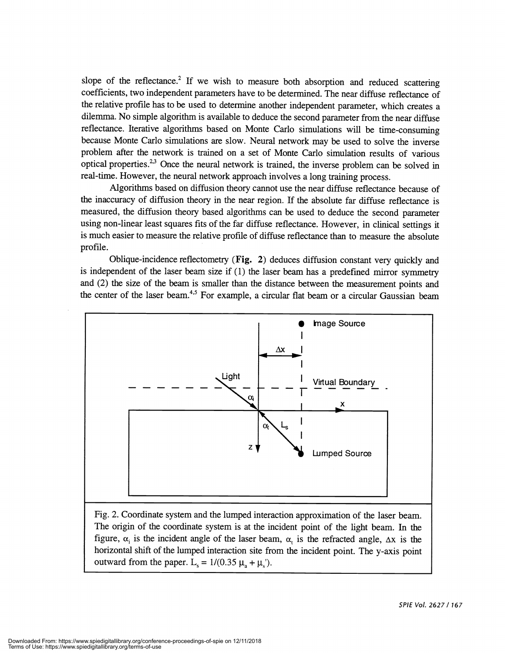slope of the reflectance.<sup>2</sup> If we wish to measure both absorption and reduced scattering coefficients, two independent parameters have to be determined. The near diffuse reflectance of the relative profile has to be used to determine another independent parameter, which creates a dilemma. No simple algorithm is available to deduce the second parameter from the near diffuse reflectance. Iterative algorithms based on Monte Carlo simulations will be time-consuming because Monte Carlo simulations are slow. Neural network may be used to solve the inverse problem after the network is trained on a set of Monte Carlo simulation results of various optical properties.<sup>2,3</sup> Once the neural network is trained, the inverse problem can be solved in real-time. However, the neural network approach involves a long training process.

Algorithms based on diffusion theory cannot use the near diffuse reflectance because of the inaccuracy of diffusion theory in the near region. If the absolute far diffuse reflectance is measured, the diffusion theory based algorithms can be used to deduce the second parameter using non-linear least squares fits of the far diffuse reflectance. However, in clinical settings it is much easier to measure the relative profile of diffuse reflectance than to measure the absolute profile.

Oblique-incidence reflectometry (Fig. 2) deduces diffusion constant very quickly and is independent of the laser beam size if (1) the laser beam has a predefined mirror symmetry and (2) the size of the beam is smaller than the distance between the measurement points and the center of the laser beam.<sup>4,5</sup> For example, a circular flat beam or a circular Gaussian beam



Fig. 2. Coordinate system and the lumped interaction approximation of the laser beam. The origin of the coordinate system is at the incident point of the light beam. In the figure,  $\alpha_i$  is the incident angle of the laser beam,  $\alpha_i$  is the refracted angle,  $\Delta x$  is the horizontal shift of the lumped interaction site from the incident point. The y-axis point outward from the paper. L<sub>s</sub> =  $1/(0.35 \mu_a + \mu_s)$ .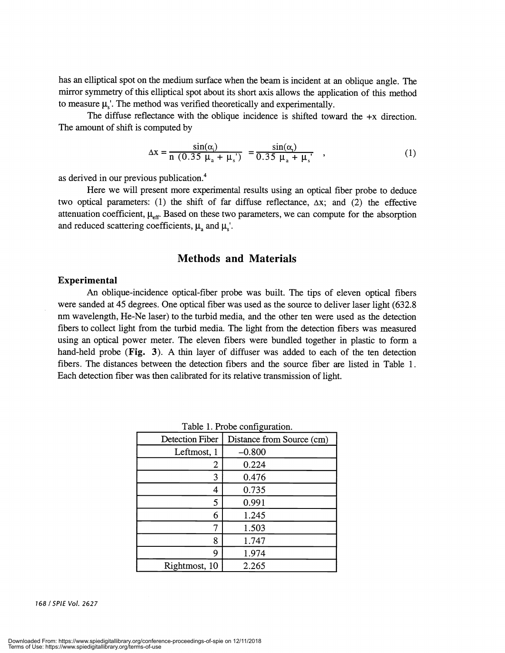has an elliptical spot on the medium surface when the beam is incident at an oblique angle. The mirror symmetry of this elliptical spot about its short axis allows the application of this method to measure  $\mu$ <sub>s</sub>'. The method was verified theoretically and experimentally.

The diffuse reflectance with the oblique incidence is shifted toward the  $+x$  direction. The amount of shift is computed by

$$
\Delta x = \frac{\sin(\alpha_i)}{n (0.35 \mu_a + \mu_s)} = \frac{\sin(\alpha_i)}{0.35 \mu_a + \mu_s}, \qquad (1)
$$

as derived in our previous publication.4

Here we will present more experimental results using an optical fiber probe to deduce two optical parameters: (1) the shift of far diffuse reflectance,  $\Delta x$ ; and (2) the effective attenuation coefficient,  $\mu_{\text{eff}}$ . Based on these two parameters, we can compute for the absorption and reduced scattering coefficients,  $\mu_a$  and  $\mu_s'$ .

#### Methods and Materials

#### Experimental

An oblique-incidence optical-fiber probe was built. The tips of eleven optical fibers were sanded at 45 degrees. One optical fiber was used as the source to deliver laser light (632.8 nm wavelength, He-Ne laser) to the turbid media, and the other ten were used as the detection fibers to collect light from the turbid media. The light from the detection fibers was measured using an optical power meter. The eleven fibers were bundled together in plastic to form a hand-held probe (Fig. 3). A thin layer of diffuser was added to each of the ten detection fibers. The distances between the detection fibers and the source fiber are listed in Table 1. Each detection fiber was then calibrated for its relative transmission of light.

| Table 1.11000 Comiguiation. |  |
|-----------------------------|--|
| Distance from Source (cm)   |  |
| $-0.800$                    |  |
| 0.224                       |  |
| 0.476                       |  |
| 0.735                       |  |
| 0.991                       |  |
| 1.245                       |  |
| 1.503                       |  |
| 1.747                       |  |
| 1.974                       |  |
| 2.265                       |  |
|                             |  |

Table 1. Probe configuration.

168 ISPIE Vol. 2627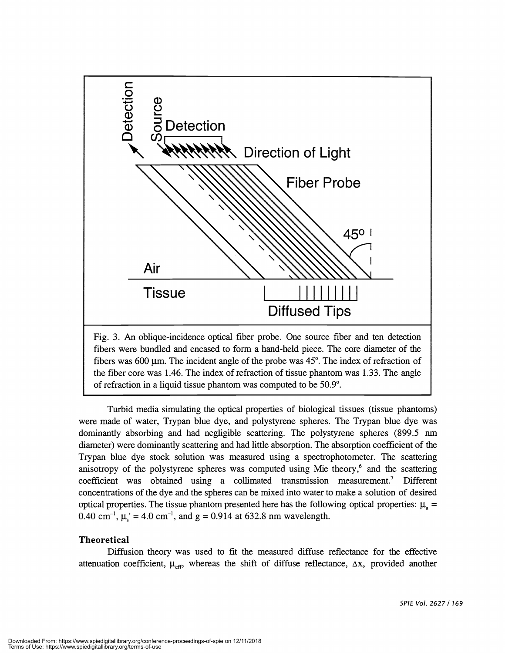

Fig. 3. An oblique-incidence optical fiber probe. One source fiber and ten detection fibers were bundled and encased to form a hand-held piece. The core diameter of the fibers was 600  $\mu$ m. The incident angle of the probe was 45°. The index of refraction of the fiber core was 1.46. The index of refraction of tissue phantom was 1.33. The angle of refraction in a liquid tissue phantom was computed to be 50.9°.

Turbid media simulating the optical properties of biological tissues (tissue phantoms) were made of water, Trypan blue dye, and polystyrene spheres. The Trypan blue dye was dominantly absorbing and had negligible scattering. The polystyrene spheres (899.5 nm diameter) were dominantly scattering and had little absorption. The absorption coefficient of the Trypan blue dye stock solution was measured using a spectrophotometer. The scattering anisotropy of the polystyrene spheres was computed using Mie theory,<sup>6</sup> and the scattering coefficient was obtained using a collimated transmission measurement.7 Different concentrations of the dye and the spheres can be mixed into water to make a solution of desired optical properties. The tissue phantom presented here has the following optical properties:  $\mu_a$  = 0.40 cm<sup>-1</sup>,  $\mu_s$  = 4.0 cm<sup>-1</sup>, and g = 0.914 at 632.8 nm wavelength.

#### **Theoretical**

Diffusion theory was used to fit the measured diffuse reflectance for the effective attenuation coefficient,  $\mu_{eff}$ , whereas the shift of diffuse reflectance,  $\Delta x$ , provided another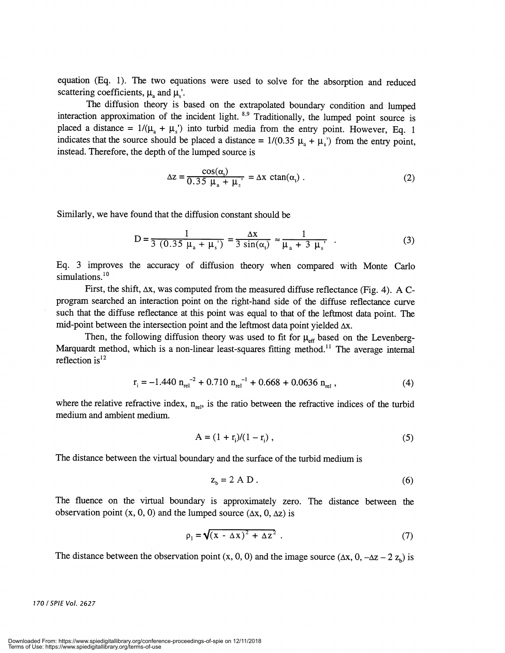equation (Eq. 1). The two equations were used to solve for the absorption and reduced scattering coefficients,  $\mu$  and  $\mu$ .

The diffusion theory is based on the extrapolated boundary condition and lumped interaction approximation of the incident light. <sup>8,9</sup> Traditionally, the lumped point source is placed a distance =  $1/(\mu_a + \mu_c)$  into turbid media from the entry point. However, Eq. 1 indicates that the source should be placed a distance =  $1/(0.35 \mu_a + \mu_s)$  from the entry point, instead. Therefore, the depth of the lumped source is

$$
\Delta z = \frac{\cos(\alpha_i)}{0.35 \mu_a + \mu_s} = \Delta x \ \text{ctan}(\alpha_i) \ . \tag{2}
$$

Similarly, we have found that the diffusion constant should be

$$
D = \frac{1}{3(0.35 \mu_a + \mu_s)} = \frac{\Delta x}{3 \sin(\alpha_t)} \approx \frac{1}{\mu_a + 3 \mu_s} \quad . \tag{3}
$$

Eq. 3 improves the accuracy of diffusion theory when compared with Monte Carlo simulations.<sup>10</sup>

First, the shift,  $\Delta x$ , was computed from the measured diffuse reflectance (Fig. 4). A Cprogram searched an interaction point on the right-hand side of the diffuse reflectance curve such that the diffuse reflectance at this point was equal to that of the leftmost data point. The mid-point between the intersection point and the leftmost data point yielded  $\Delta x$ .

Then, the following diffusion theory was used to fit for  $\mu_{\text{eff}}$  based on the Levenberg-Marquardt method, which is a non-linear least-squares fitting method.<sup>11</sup> The average internal reflection  $is^{12}$ 

$$
r_{i} = -1.440 \ n_{rel}^{-2} + 0.710 \ n_{rel}^{-1} + 0.668 + 0.0636 \ n_{rel} \ , \tag{4}
$$

where the relative refractive index,  $n_{rel}$ , is the ratio between the refractive indices of the turbid medium and ambient medium.

$$
A = (1 + r_i)/(1 - r_i) , \t\t(5)
$$

The distance between the virtual boundary and the surface of the turbid medium is

$$
z_{b} = 2 A D. \tag{6}
$$

The fluence on the virtual boundary is approximately zero. The distance between the observation point  $(x, 0, 0)$  and the lumped source  $(\Delta x, 0, \Delta z)$  is

$$
\rho_1 = \sqrt{(x - \Delta x)^2 + \Delta z^2} \tag{7}
$$

The distance between the observation point  $(x, 0, 0)$  and the image source  $(\Delta x, 0, -\Delta z - 2 z_b)$  is

170/SPIE Vol. 2627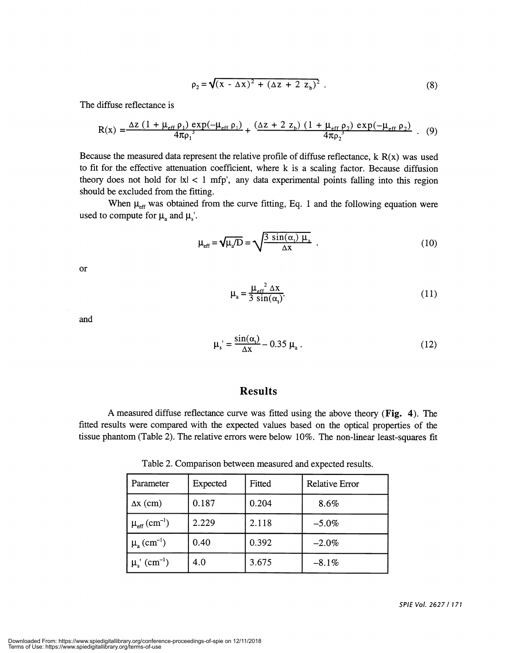$$
\rho_2 = \sqrt{(x - \Delta x)^2 + (\Delta z + 2 z_b)^2} \ . \tag{8}
$$

The diffuse reflectance is

$$
R(x) = \frac{\Delta z (1 + \mu_{eff} \rho_1) \exp(-\mu_{eff} \rho_1)}{4\pi \rho_1^3} + \frac{(\Delta z + 2 z_b) (1 + \mu_{eff} \rho_2) \exp(-\mu_{eff} \rho_2)}{4\pi \rho_2^3} \ . \tag{9}
$$

Because the measured data represent the relative profile of diffuse reflectance,  $k R(x)$  was used to fit for the effective attenuation coefficient, where k is a scaling factor. Because diffusion theory does not hold for  $|x| < 1$  mfp', any data experimental points falling into this region should be excluded from the fitting.

When  $\mu_{\text{eff}}$  was obtained from the curve fitting, Eq. 1 and the following equation were used to compute for  $\mu_a$  and  $\mu_s'$ .

$$
\mu_{\text{eff}} = \sqrt{\mu_a/D} = \sqrt{\frac{3 \sin(\alpha_t) \mu_a}{\Delta x}} \tag{10}
$$

or

$$
\mu_{a} = \frac{\mu_{eff}^{2} \Delta x}{3 \sin(\alpha_{t})}.
$$
\n(11)

and

$$
\mu_s' = \frac{\sin(\alpha_t)}{\Delta x} - 0.35 \mu_a \,. \tag{12}
$$

# Results

A measured diffuse reflectance curve was fitted using the above theory (Fig. 4). The fitted results were compared with the expected values based on the optical properties of the tissue phantom (Table 2). The relative errors were below 10%. The non-linear least-squares fit

Table 2. Comparison between measured and expected results.

| Parameter                            | Expected | Fitted | <b>Relative Error</b> |
|--------------------------------------|----------|--------|-----------------------|
| $\Delta x$ (cm)                      | 0.187    | 0.204  | 8.6%                  |
| $\mu_{\rm eff}$ (cm <sup>-1</sup> )  | 2.229    | 2.118  | $-5.0\%$              |
| $\mu_{a}$ (cm <sup>-1</sup> )        | 0.40     | 0.392  | $-2.0\%$              |
| $\mu_s^{\prime}$ (cm <sup>-1</sup> ) | 4.0      | 3.675  | $-8.1%$               |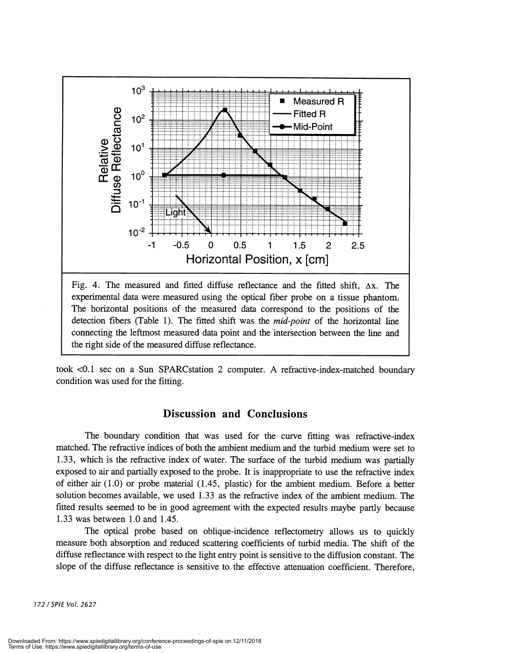

took <0.1 sec on a Sun SPARCstation 2 computer. A refractive-index-matched boundary condition was used for the fitting.

# Discussion and Conclusions

The boundary condition that was used for the curve fitting was refractive-index matched. The refractive indices of both the ambient medium and the turbid medium were set to 1.33, which is the refractive index of water. The surface of the turbid medium was partially exposed to air and partially exposed to the probe. It is inappropriate to use the refractive index of either air  $(1.0)$  or probe material  $(1.45,$  plastic) for the ambient medium. Before a better solution becomes available, we used 1 .33 as the refractive index of the ambient medium. The fitted results seemed to be in good agreement with the expected results maybe partly because 1 .33 was between 1.0 and 1.45.

The optical probe based on oblique-incidence reflectometry allows us to quickly measure both absorption and reduced scattering coefficients of turbid media. The shift of the diffuse reflectance with respect to the light entry point is sensitive to the diffusion constant. The slope of the diffuse reflectance is sensitive to the effective attenuation coefficient. Therefore,

172 ISPIE Vol. 2627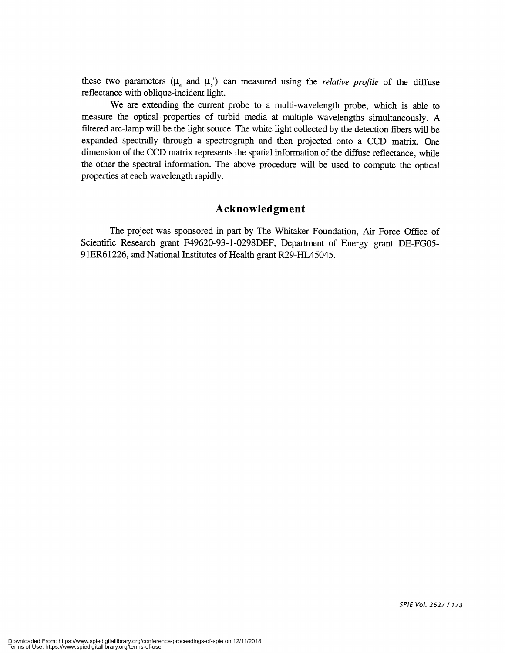these two parameters ( $\mu_a$  and  $\mu_s$ ) can measured using the *relative profile* of the diffuse reflectance with oblique-incident light.

We are extending the current probe to a multi-wavelength probe, which is able to measure the optical properties of turbid media at multiple wavelengths simultaneously. A filtered arc-lamp will be the light source. The white light collected by the detection fibers will be expanded spectrally through a spectrograph and then projected onto a CCD matrix. One dimension of the CCD matrix represents the spatial information of the diffuse reflectance, while the other the spectral information. The above procedure will be used to compute the optical properties at each wavelength rapidly.

#### Acknowledgment

The project was sponsored in part by The Whitaker Foundation, Air Force Office of Scientific Research grant F49620-93-l-0298DEF, Department of Energy grant DE-FGO5- 9 1ER6 1226, and National Institutes of Health grant R29-HL45045.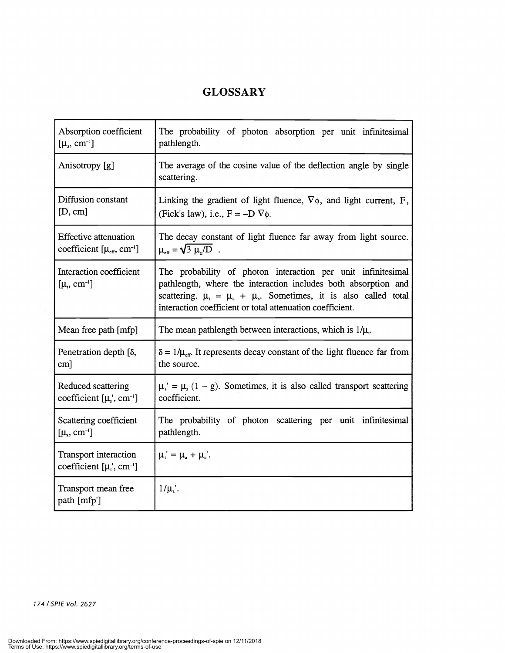# **GLOSSARY**

| Absorption coefficient                                                    | The probability of photon absorption per unit infinitesimal                                                                                                                                                                                                                   |  |  |
|---------------------------------------------------------------------------|-------------------------------------------------------------------------------------------------------------------------------------------------------------------------------------------------------------------------------------------------------------------------------|--|--|
| $[\mu_{\rm a}, \, \rm cm^{-1}]$                                           | pathlength.                                                                                                                                                                                                                                                                   |  |  |
| Anisotropy [g]                                                            | The average of the cosine value of the deflection angle by single<br>scattering.                                                                                                                                                                                              |  |  |
| Diffusion constant                                                        | Linking the gradient of light fluence, $\nabla \phi$ , and light current, F,                                                                                                                                                                                                  |  |  |
| [D, cm]                                                                   | (Fick's law), i.e., $F = -D \nabla \phi$ .                                                                                                                                                                                                                                    |  |  |
| <b>Effective attenuation</b>                                              | The decay constant of light fluence far away from light source.                                                                                                                                                                                                               |  |  |
| coefficient $[\mu_{eff}, \text{cm}^{-1}]$                                 | $\mu_{\text{eff}} = \sqrt{3 \mu_{\text{s}}/D}$ .                                                                                                                                                                                                                              |  |  |
| Interaction coefficient<br>$[\mu_{\nu}, \text{ cm}^{-1}]$                 | The probability of photon interaction per unit infinitesimal<br>pathlength, where the interaction includes both absorption and<br>scattering. $\mu_{t} = \mu_{a} + \mu_{s}$ . Sometimes, it is also called total<br>interaction coefficient or total attenuation coefficient. |  |  |
| Mean free path [mfp]                                                      | The mean pathlength between interactions, which is $1/\mu$ .                                                                                                                                                                                                                  |  |  |
| Penetration depth [δ,                                                     | $\delta = 1/\mu_{\rm eff}$ . It represents decay constant of the light fluence far from                                                                                                                                                                                       |  |  |
| cm]                                                                       | the source.                                                                                                                                                                                                                                                                   |  |  |
| Reduced scattering                                                        | $\mu$ <sub>s</sub> ' = $\mu$ <sub>s</sub> (1 – g). Sometimes, it is also called transport scattering                                                                                                                                                                          |  |  |
| coefficient $[\mu_s, \text{cm}^{-1}]$                                     | coefficient.                                                                                                                                                                                                                                                                  |  |  |
| Scattering coefficient                                                    | The probability of photon scattering per unit infinitesimal                                                                                                                                                                                                                   |  |  |
| [ $\mu_s$ , cm <sup>-1</sup> ]                                            | pathlength.                                                                                                                                                                                                                                                                   |  |  |
| Transport interaction<br>coefficient $[\mu_{t}^{\prime}, \text{cm}^{-1}]$ | $\mu_i' = \mu_a + \mu_s'.$                                                                                                                                                                                                                                                    |  |  |
| Transport mean free<br>path [mfp']                                        | $1/\mu$ .                                                                                                                                                                                                                                                                     |  |  |

174 /SP!E Vol. 2627